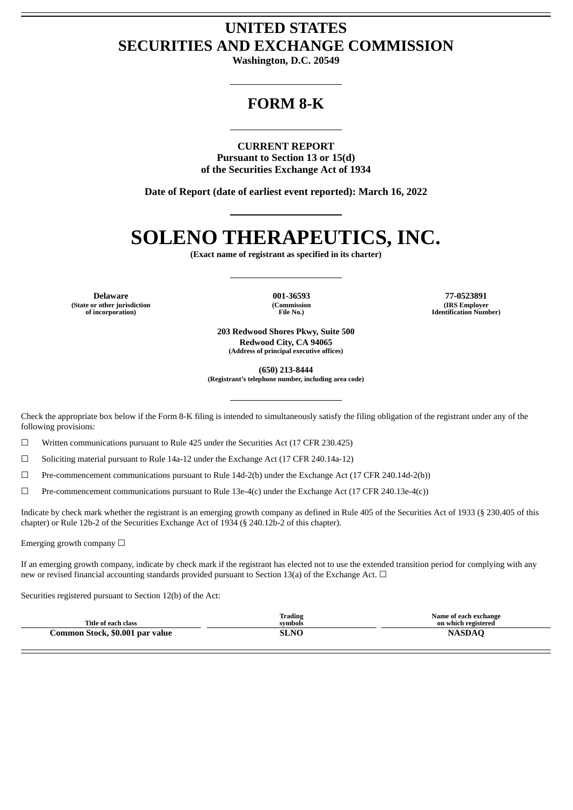## **UNITED STATES SECURITIES AND EXCHANGE COMMISSION**

**Washington, D.C. 20549**

## **FORM 8-K**

**CURRENT REPORT Pursuant to Section 13 or 15(d) of the Securities Exchange Act of 1934**

**Date of Report (date of earliest event reported): March 16, 2022**

# **SOLENO THERAPEUTICS, INC.**

**(Exact name of registrant as specified in its charter)**

**(State or other jurisdiction of incorporation)**

**(Commission File No.)**

**Delaware 001-36593 77-0523891 (IRS Employer Identification Number)**

> **203 Redwood Shores Pkwy, Suite 500 Redwood City, CA 94065 (Address of principal executive offices)**

> > **(650) 213-8444**

**(Registrant's telephone number, including area code)**

Check the appropriate box below if the Form 8-K filing is intended to simultaneously satisfy the filing obligation of the registrant under any of the following provisions:

 $\Box$  Written communications pursuant to Rule 425 under the Securities Act (17 CFR 230.425)

 $\Box$  Soliciting material pursuant to Rule 14a-12 under the Exchange Act (17 CFR 240.14a-12)

☐ Pre-commencement communications pursuant to Rule 14d-2(b) under the Exchange Act (17 CFR 240.14d-2(b))

 $\Box$  Pre-commencement communications pursuant to Rule 13e-4(c) under the Exchange Act (17 CFR 240.13e-4(c))

Indicate by check mark whether the registrant is an emerging growth company as defined in Rule 405 of the Securities Act of 1933 (§ 230.405 of this chapter) or Rule 12b-2 of the Securities Exchange Act of 1934 (§ 240.12b-2 of this chapter).

Emerging growth company  $\Box$ 

If an emerging growth company, indicate by check mark if the registrant has elected not to use the extended transition period for complying with any new or revised financial accounting standards provided pursuant to Section 13(a) of the Exchange Act.  $\Box$ 

Securities registered pursuant to Section 12(b) of the Act:

| Title of each class             | <b>Trading</b><br>symbols | Name of each exchange<br>on which registered |
|---------------------------------|---------------------------|----------------------------------------------|
| Common Stock, \$0.001 par value | SLNC                      | NAGDAC                                       |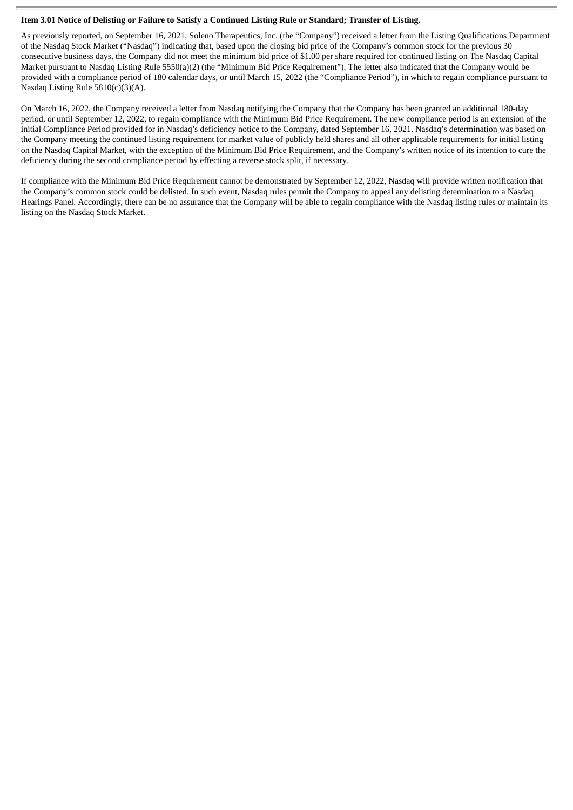#### Item 3.01 Notice of Delisting or Failure to Satisfy a Continued Listing Rule or Standard; Transfer of Listing.

As previously reported, on September 16, 2021, Soleno Therapeutics, Inc. (the "Company") received a letter from the Listing Qualifications Department of the Nasdaq Stock Market ("Nasdaq") indicating that, based upon the closing bid price of the Company's common stock for the previous 30 consecutive business days, the Company did not meet the minimum bid price of \$1.00 per share required for continued listing on The Nasdaq Capital Market pursuant to Nasdaq Listing Rule 5550(a)(2) (the "Minimum Bid Price Requirement"). The letter also indicated that the Company would be provided with a compliance period of 180 calendar days, or until March 15, 2022 (the "Compliance Period"), in which to regain compliance pursuant to Nasdaq Listing Rule 5810(c)(3)(A).

On March 16, 2022, the Company received a letter from Nasdaq notifying the Company that the Company has been granted an additional 180-day period, or until September 12, 2022, to regain compliance with the Minimum Bid Price Requirement. The new compliance period is an extension of the initial Compliance Period provided for in Nasdaq's deficiency notice to the Company, dated September 16, 2021. Nasdaq's determination was based on the Company meeting the continued listing requirement for market value of publicly held shares and all other applicable requirements for initial listing on the Nasdaq Capital Market, with the exception of the Minimum Bid Price Requirement, and the Company's written notice of its intention to cure the deficiency during the second compliance period by effecting a reverse stock split, if necessary.

If compliance with the Minimum Bid Price Requirement cannot be demonstrated by September 12, 2022, Nasdaq will provide written notification that the Company's common stock could be delisted. In such event, Nasdaq rules permit the Company to appeal any delisting determination to a Nasdaq Hearings Panel. Accordingly, there can be no assurance that the Company will be able to regain compliance with the Nasdaq listing rules or maintain its listing on the Nasdaq Stock Market.